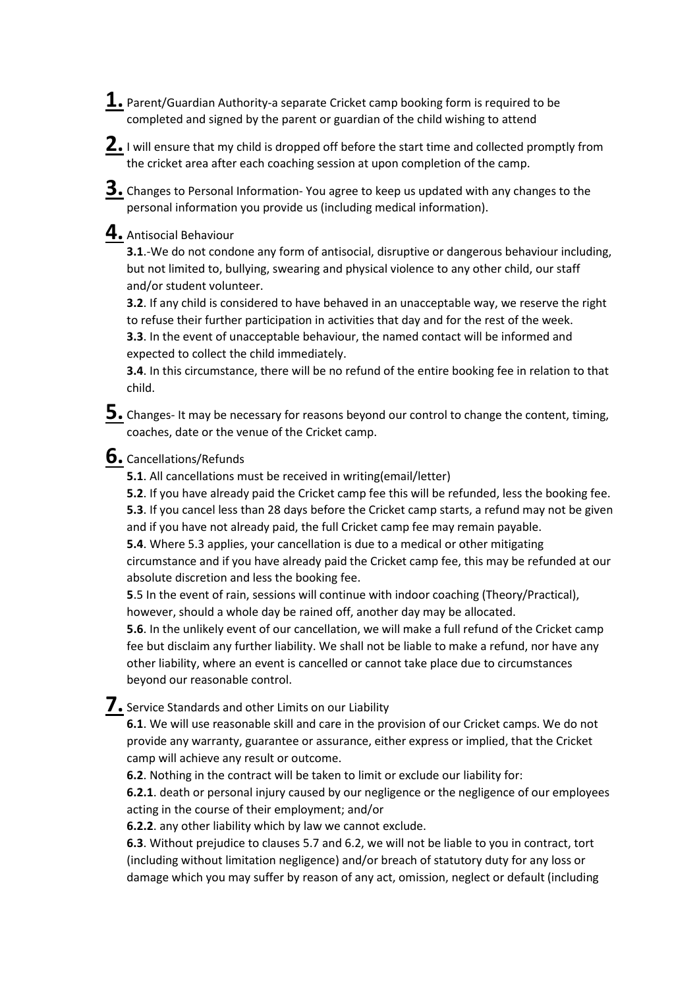**1.** Parent/Guardian Authority-a separate Cricket camp booking form is required to be completed and signed by the parent or guardian of the child wishing to attend

**2.**I will ensure that my child is dropped off before the start time and collected promptly from the cricket area after each coaching session at upon completion of the camp.

**3.** Changes to Personal Information- You agree to keep us updated with any changes to the personal information you provide us (including medical information).

## **4.** Antisocial Behaviour

**3.1**.-We do not condone any form of antisocial, disruptive or dangerous behaviour including, but not limited to, bullying, swearing and physical violence to any other child, our staff and/or student volunteer.

**3.2**. If any child is considered to have behaved in an unacceptable way, we reserve the right to refuse their further participation in activities that day and for the rest of the week.

**3.3**. In the event of unacceptable behaviour, the named contact will be informed and expected to collect the child immediately.

**3.4**. In this circumstance, there will be no refund of the entire booking fee in relation to that child.

**5.** Changes- It may be necessary for reasons beyond our control to change the content, timing, coaches, date or the venue of the Cricket camp.

## **6.** Cancellations/Refunds

**5.1**. All cancellations must be received in writing(email/letter)

**5.2**. If you have already paid the Cricket camp fee this will be refunded, less the booking fee.

**5.3**. If you cancel less than 28 days before the Cricket camp starts, a refund may not be given and if you have not already paid, the full Cricket camp fee may remain payable.

**5.4**. Where 5.3 applies, your cancellation is due to a medical or other mitigating

circumstance and if you have already paid the Cricket camp fee, this may be refunded at our absolute discretion and less the booking fee.

**5**.5 In the event of rain, sessions will continue with indoor coaching (Theory/Practical), however, should a whole day be rained off, another day may be allocated.

**5.6**. In the unlikely event of our cancellation, we will make a full refund of the Cricket camp fee but disclaim any further liability. We shall not be liable to make a refund, nor have any other liability, where an event is cancelled or cannot take place due to circumstances beyond our reasonable control.

**7.** Service Standards and other Limits on our Liability

**6.1**. We will use reasonable skill and care in the provision of our Cricket camps. We do not provide any warranty, guarantee or assurance, either express or implied, that the Cricket camp will achieve any result or outcome.

**6.2**. Nothing in the contract will be taken to limit or exclude our liability for:

**6.2.1**. death or personal injury caused by our negligence or the negligence of our employees acting in the course of their employment; and/or

**6.2.2**. any other liability which by law we cannot exclude.

**6.3**. Without prejudice to clauses 5.7 and 6.2, we will not be liable to you in contract, tort (including without limitation negligence) and/or breach of statutory duty for any loss or damage which you may suffer by reason of any act, omission, neglect or default (including